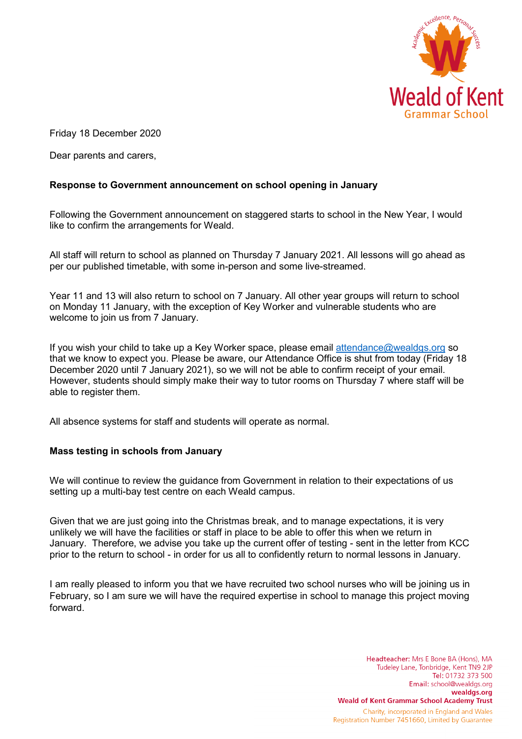

Friday 18 December 2020

Dear parents and carers,

## **Response to Government announcement on school opening in January**

Following the Government announcement on staggered starts to school in the New Year, I would like to confirm the arrangements for Weald.

All staff will return to school as planned on Thursday 7 January 2021. All lessons will go ahead as per our published timetable, with some in-person and some live-streamed.

Year 11 and 13 will also return to school on 7 January. All other year groups will return to school on Monday 11 January, with the exception of Key Worker and vulnerable students who are welcome to join us from 7 January.

If you wish your child to take up a Key Worker space, please email [attendance@wealdgs.org](mailto:attendance@wealdgs.org) so that we know to expect you. Please be aware, our Attendance Office is shut from today (Friday 18 December 2020 until 7 January 2021), so we will not be able to confirm receipt of your email. However, students should simply make their way to tutor rooms on Thursday 7 where staff will be able to register them.

All absence systems for staff and students will operate as normal.

## **Mass testing in schools from January**

We will continue to review the guidance from Government in relation to their expectations of us setting up a multi-bay test centre on each Weald campus.

Given that we are just going into the Christmas break, and to manage expectations, it is very unlikely we will have the facilities or staff in place to be able to offer this when we return in January. Therefore, we advise you take up the current offer of testing - sent in the letter from KCC prior to the return to school - in order for us all to confidently return to normal lessons in January.

I am really pleased to inform you that we have recruited two school nurses who will be joining us in February, so I am sure we will have the required expertise in school to manage this project moving forward.

> Headteacher: Mrs E Bone BA (Hons), MA Tudeley Lane, Tonbridge, Kent TN9 2JP Tel: 01732 373 500 Email: school@wealdgs.org wealdgs.org **Weald of Kent Grammar School Academy Trust** Charity, incorporated in England and Wales Registration Number 7451660, Limited by Guarantee